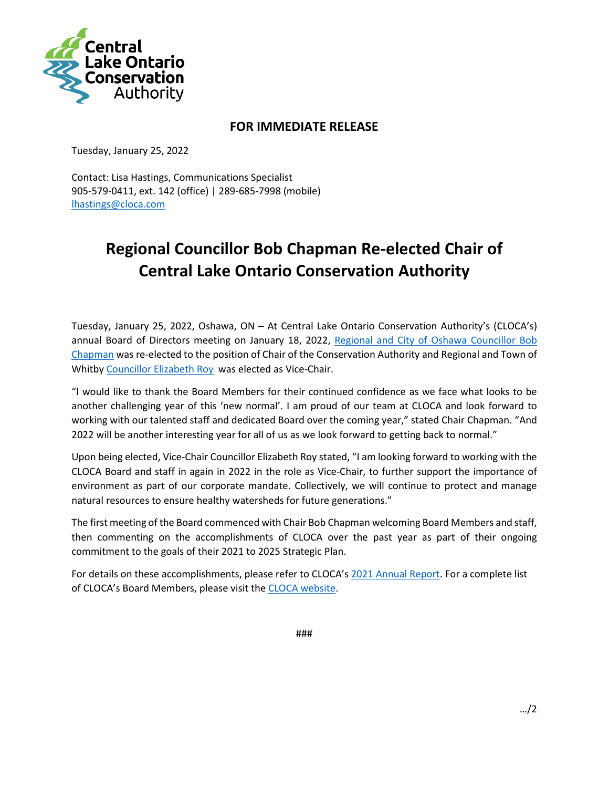

## **FOR IMMEDIATE RELEASE**

Tuesday, January 25, 2022

Contact: Lisa Hastings, Communications Specialist 905-579-0411, ext. 142 (office) | 289-685-7998 (mobile) [lhastings@cloca.com](mailto:lhastings@cloca.com)

## **Regional Councillor Bob Chapman Re-elected Chair of Central Lake Ontario Conservation Authority**

Tuesday, January 25, 2022, Oshawa, ON – At Central Lake Ontario Conservation Authority's (CLOCA's) annual Board of Directors meeting on January 18, 2022, [Regional and City of Oshawa Councillor Bob](https://www.oshawa.ca/city-hall/councillor-chapman.asp)  [Chapman](https://www.oshawa.ca/city-hall/councillor-chapman.asp) was re-elected to the position of Chair of the Conservation Authority and Regional and Town of Whitby [Councillor Elizabeth Roy](https://www.whitby.ca/en/town-hall/elizabeth-roy.aspx) was elected as Vice-Chair.

"I would like to thank the Board Members for their continued confidence as we face what looks to be another challenging year of this 'new normal'. I am proud of our team at CLOCA and look forward to working with our talented staff and dedicated Board over the coming year," stated Chair Chapman. "And 2022 will be another interesting year for all of us as we look forward to getting back to normal."

Upon being elected, Vice-Chair Councillor Elizabeth Roy stated, "I am looking forward to working with the CLOCA Board and staff in again in 2022 in the role as Vice-Chair, to further support the importance of environment as part of our corporate mandate. Collectively, we will continue to protect and manage natural resources to ensure healthy watersheds for future generations."

The first meeting of the Board commenced with Chair Bob Chapman welcoming Board Members and staff, then commenting on the accomplishments of CLOCA over the past year as part of their ongoing commitment to the goals of their 2021 to 2025 Strategic Plan.

For details on these accomplishments, please refer to CLOCA's [2021 Annual Report.](https://bit.ly/3GgXP45) For a complete list of CLOCA's Board Members, please visit the [CLOCA website.](https://www.cloca.com/board-of-directors)

###